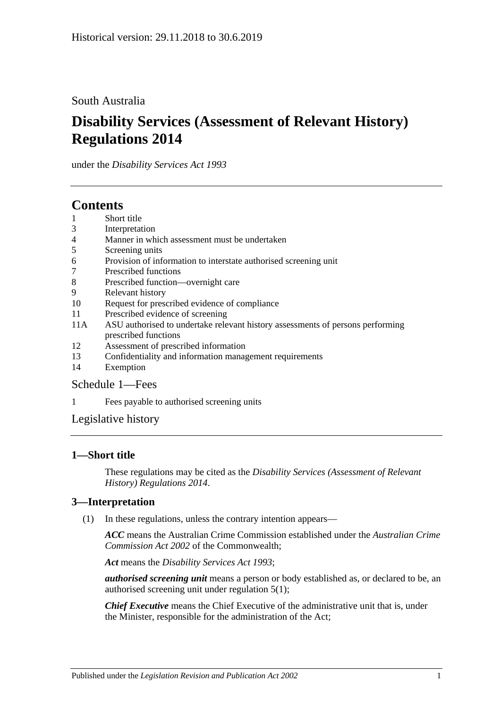## South Australia

# **Disability Services (Assessment of Relevant History) Regulations 2014**

under the *Disability Services Act 1993*

# **Contents**

- 1 [Short title](#page-0-0)
- 3 [Interpretation](#page-0-1)
- 4 [Manner in which assessment must be undertaken](#page-1-0)
- 5 [Screening units](#page-1-1)
- 6 [Provision of information to interstate authorised screening unit](#page-1-2)
- 7 [Prescribed functions](#page-1-3)
- 8 [Prescribed function—overnight care](#page-2-0)
- 9 [Relevant history](#page-2-1)
- 10 [Request for prescribed evidence of compliance](#page-3-0)
- 11 [Prescribed evidence of screening](#page-3-1)
- 11A [ASU authorised to undertake relevant history assessments of persons performing](#page-3-2)  [prescribed functions](#page-3-2)
- 12 [Assessment of prescribed information](#page-3-3)
- 13 [Confidentiality and information management requirements](#page-4-0)
- 14 [Exemption](#page-4-1)

### [Schedule](#page-5-0) 1—Fees

1 [Fees payable to authorised screening units](#page-5-1)

[Legislative history](#page-6-0)

### <span id="page-0-0"></span>**1—Short title**

These regulations may be cited as the *Disability Services (Assessment of Relevant History) Regulations 2014*.

### <span id="page-0-1"></span>**3—Interpretation**

(1) In these regulations, unless the contrary intention appears—

*ACC* means the Australian Crime Commission established under the *Australian Crime Commission Act 2002* of the Commonwealth;

*Act* means the *[Disability Services Act](http://www.legislation.sa.gov.au/index.aspx?action=legref&type=act&legtitle=Disability%20Services%20Act%201993) 1993*;

*authorised screening unit* means a person or body established as, or declared to be, an authorised screening unit under [regulation](#page-1-4) 5(1);

*Chief Executive* means the Chief Executive of the administrative unit that is, under the Minister, responsible for the administration of the Act;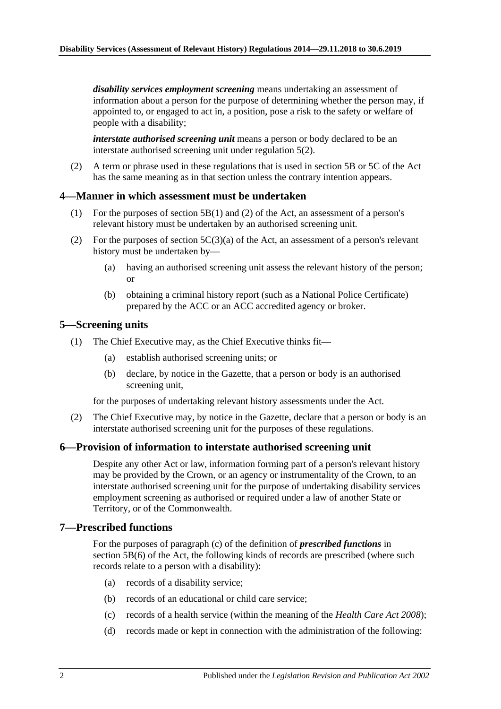*disability services employment screening* means undertaking an assessment of information about a person for the purpose of determining whether the person may, if appointed to, or engaged to act in, a position, pose a risk to the safety or welfare of people with a disability;

*interstate authorised screening unit* means a person or body declared to be an interstate authorised screening unit under [regulation](#page-1-5) 5(2).

(2) A term or phrase used in these regulations that is used in section 5B or 5C of the Act has the same meaning as in that section unless the contrary intention appears.

#### <span id="page-1-0"></span>**4—Manner in which assessment must be undertaken**

- (1) For the purposes of section 5B(1) and (2) of the Act, an assessment of a person's relevant history must be undertaken by an authorised screening unit.
- (2) For the purposes of section  $5C(3)(a)$  of the Act, an assessment of a person's relevant history must be undertaken by—
	- (a) having an authorised screening unit assess the relevant history of the person; or
	- (b) obtaining a criminal history report (such as a National Police Certificate) prepared by the ACC or an ACC accredited agency or broker.

#### <span id="page-1-4"></span><span id="page-1-1"></span>**5—Screening units**

- (1) The Chief Executive may, as the Chief Executive thinks fit—
	- (a) establish authorised screening units; or
	- (b) declare, by notice in the Gazette, that a person or body is an authorised screening unit,

for the purposes of undertaking relevant history assessments under the Act.

<span id="page-1-5"></span>(2) The Chief Executive may, by notice in the Gazette, declare that a person or body is an interstate authorised screening unit for the purposes of these regulations.

#### <span id="page-1-2"></span>**6—Provision of information to interstate authorised screening unit**

Despite any other Act or law, information forming part of a person's relevant history may be provided by the Crown, or an agency or instrumentality of the Crown, to an interstate authorised screening unit for the purpose of undertaking disability services employment screening as authorised or required under a law of another State or Territory, or of the Commonwealth.

#### <span id="page-1-3"></span>**7—Prescribed functions**

For the purposes of paragraph (c) of the definition of *prescribed functions* in section 5B(6) of the Act, the following kinds of records are prescribed (where such records relate to a person with a disability):

- (a) records of a disability service;
- (b) records of an educational or child care service;
- (c) records of a health service (within the meaning of the *[Health Care Act](http://www.legislation.sa.gov.au/index.aspx?action=legref&type=act&legtitle=Health%20Care%20Act%202008) 2008*);
- (d) records made or kept in connection with the administration of the following: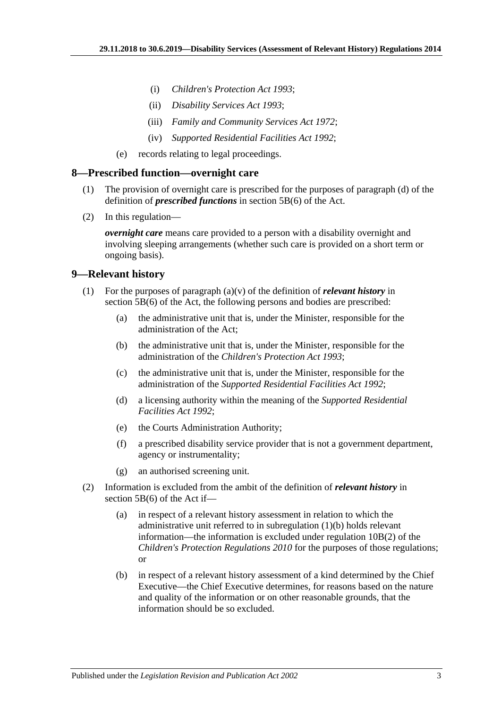- (i) *[Children's Protection Act](http://www.legislation.sa.gov.au/index.aspx?action=legref&type=act&legtitle=Childrens%20Protection%20Act%201993) 1993*;
- (ii) *[Disability Services Act](http://www.legislation.sa.gov.au/index.aspx?action=legref&type=act&legtitle=Disability%20Services%20Act%201993) 1993*;
- (iii) *[Family and Community Services Act](http://www.legislation.sa.gov.au/index.aspx?action=legref&type=act&legtitle=Family%20and%20Community%20Services%20Act%201972) 1972*;
- (iv) *[Supported Residential Facilities Act](http://www.legislation.sa.gov.au/index.aspx?action=legref&type=act&legtitle=Supported%20Residential%20Facilities%20Act%201992) 1992*;
- (e) records relating to legal proceedings.

#### <span id="page-2-0"></span>**8—Prescribed function—overnight care**

- (1) The provision of overnight care is prescribed for the purposes of paragraph (d) of the definition of *prescribed functions* in section 5B(6) of the Act.
- (2) In this regulation—

*overnight care* means care provided to a person with a disability overnight and involving sleeping arrangements (whether such care is provided on a short term or ongoing basis).

#### <span id="page-2-1"></span>**9—Relevant history**

- <span id="page-2-2"></span>(1) For the purposes of paragraph (a)(v) of the definition of *relevant history* in section 5B(6) of the Act, the following persons and bodies are prescribed:
	- (a) the administrative unit that is, under the Minister, responsible for the administration of the Act;
	- (b) the administrative unit that is, under the Minister, responsible for the administration of the *[Children's Protection Act](http://www.legislation.sa.gov.au/index.aspx?action=legref&type=act&legtitle=Childrens%20Protection%20Act%201993) 1993*;
	- (c) the administrative unit that is, under the Minister, responsible for the administration of the *[Supported Residential Facilities Act](http://www.legislation.sa.gov.au/index.aspx?action=legref&type=act&legtitle=Supported%20Residential%20Facilities%20Act%201992) 1992*;
	- (d) a licensing authority within the meaning of the *[Supported Residential](http://www.legislation.sa.gov.au/index.aspx?action=legref&type=act&legtitle=Supported%20Residential%20Facilities%20Act%201992)  [Facilities Act](http://www.legislation.sa.gov.au/index.aspx?action=legref&type=act&legtitle=Supported%20Residential%20Facilities%20Act%201992) 1992*;
	- (e) the Courts Administration Authority;
	- (f) a prescribed disability service provider that is not a government department, agency or instrumentality;
	- (g) an authorised screening unit.
- (2) Information is excluded from the ambit of the definition of *relevant history* in section 5B(6) of the Act if—
	- (a) in respect of a relevant history assessment in relation to which the administrative unit referred to in [subregulation](#page-2-2) (1)(b) holds relevant information—the information is excluded under regulation 10B(2) of the *[Children's Protection Regulations](http://www.legislation.sa.gov.au/index.aspx?action=legref&type=subordleg&legtitle=Childrens%20Protection%20Regulations%202010) 2010* for the purposes of those regulations; or
	- (b) in respect of a relevant history assessment of a kind determined by the Chief Executive—the Chief Executive determines, for reasons based on the nature and quality of the information or on other reasonable grounds, that the information should be so excluded.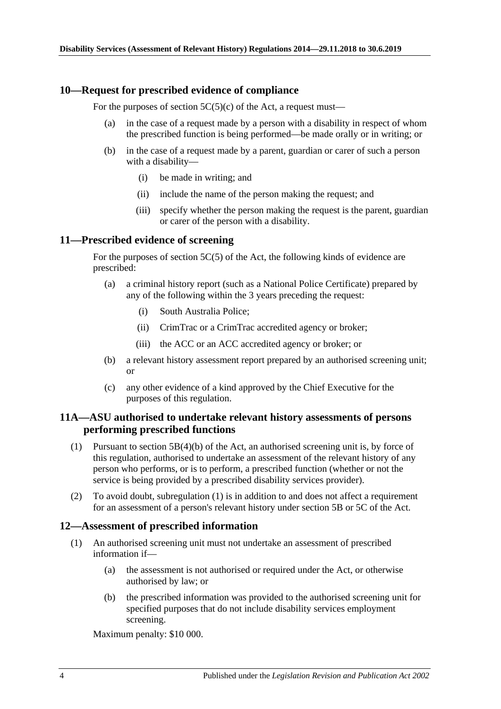#### <span id="page-3-0"></span>**10—Request for prescribed evidence of compliance**

For the purposes of section  $5C(5)(c)$  of the Act, a request must—

- (a) in the case of a request made by a person with a disability in respect of whom the prescribed function is being performed—be made orally or in writing; or
- (b) in the case of a request made by a parent, guardian or carer of such a person with a disability—
	- (i) be made in writing; and
	- (ii) include the name of the person making the request; and
	- (iii) specify whether the person making the request is the parent, guardian or carer of the person with a disability.

#### <span id="page-3-1"></span>**11—Prescribed evidence of screening**

For the purposes of section 5C(5) of the Act, the following kinds of evidence are prescribed:

- (a) a criminal history report (such as a National Police Certificate) prepared by any of the following within the 3 years preceding the request:
	- (i) South Australia Police;
	- (ii) CrimTrac or a CrimTrac accredited agency or broker;
	- (iii) the ACC or an ACC accredited agency or broker; or
- (b) a relevant history assessment report prepared by an authorised screening unit; or
- (c) any other evidence of a kind approved by the Chief Executive for the purposes of this regulation.

#### <span id="page-3-2"></span>**11A—ASU authorised to undertake relevant history assessments of persons performing prescribed functions**

- <span id="page-3-4"></span>(1) Pursuant to section 5B(4)(b) of the Act, an authorised screening unit is, by force of this regulation, authorised to undertake an assessment of the relevant history of any person who performs, or is to perform, a prescribed function (whether or not the service is being provided by a prescribed disability services provider).
- (2) To avoid doubt, [subregulation](#page-3-4) (1) is in addition to and does not affect a requirement for an assessment of a person's relevant history under section 5B or 5C of the Act.

#### <span id="page-3-3"></span>**12—Assessment of prescribed information**

- (1) An authorised screening unit must not undertake an assessment of prescribed information if—
	- (a) the assessment is not authorised or required under the Act, or otherwise authorised by law; or
	- (b) the prescribed information was provided to the authorised screening unit for specified purposes that do not include disability services employment screening.

Maximum penalty: \$10 000.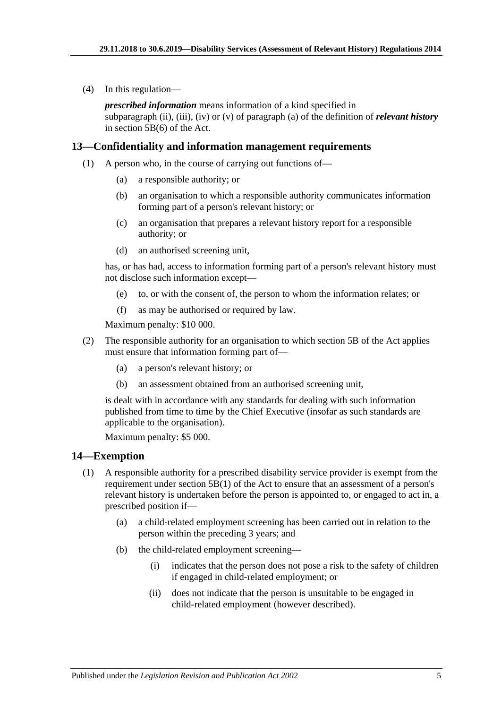(4) In this regulation—

*prescribed information* means information of a kind specified in subparagraph (ii), (iii), (iv) or (v) of paragraph (a) of the definition of *relevant history* in section 5B(6) of the Act.

#### <span id="page-4-0"></span>**13—Confidentiality and information management requirements**

- (1) A person who, in the course of carrying out functions of—
	- (a) a responsible authority; or
	- (b) an organisation to which a responsible authority communicates information forming part of a person's relevant history; or
	- (c) an organisation that prepares a relevant history report for a responsible authority; or
	- (d) an authorised screening unit,

has, or has had, access to information forming part of a person's relevant history must not disclose such information except—

- (e) to, or with the consent of, the person to whom the information relates; or
- (f) as may be authorised or required by law.

Maximum penalty: \$10 000.

- (2) The responsible authority for an organisation to which section 5B of the Act applies must ensure that information forming part of—
	- (a) a person's relevant history; or
	- (b) an assessment obtained from an authorised screening unit,

is dealt with in accordance with any standards for dealing with such information published from time to time by the Chief Executive (insofar as such standards are applicable to the organisation).

Maximum penalty: \$5 000.

#### <span id="page-4-1"></span>**14—Exemption**

- (1) A responsible authority for a prescribed disability service provider is exempt from the requirement under section  $5B(1)$  of the Act to ensure that an assessment of a person's relevant history is undertaken before the person is appointed to, or engaged to act in, a prescribed position if—
	- (a) a child-related employment screening has been carried out in relation to the person within the preceding 3 years; and
	- (b) the child-related employment screening—
		- (i) indicates that the person does not pose a risk to the safety of children if engaged in child-related employment; or
		- (ii) does not indicate that the person is unsuitable to be engaged in child-related employment (however described).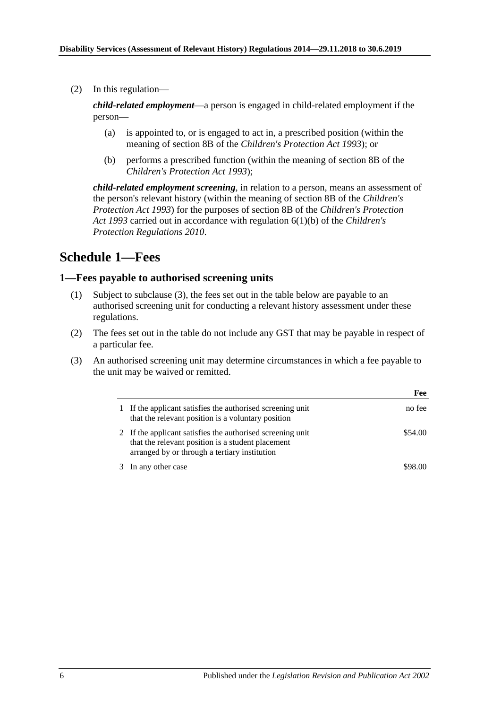(2) In this regulation—

*child-related employment*—a person is engaged in child-related employment if the person—

- (a) is appointed to, or is engaged to act in, a prescribed position (within the meaning of section 8B of the *[Children's Protection Act](http://www.legislation.sa.gov.au/index.aspx?action=legref&type=act&legtitle=Childrens%20Protection%20Act%201993) 1993*); or
- (b) performs a prescribed function (within the meaning of section 8B of the *[Children's Protection Act](http://www.legislation.sa.gov.au/index.aspx?action=legref&type=act&legtitle=Childrens%20Protection%20Act%201993) 1993*);

*child-related employment screening*, in relation to a person, means an assessment of the person's relevant history (within the meaning of section 8B of the *[Children's](http://www.legislation.sa.gov.au/index.aspx?action=legref&type=act&legtitle=Childrens%20Protection%20Act%201993)  [Protection Act](http://www.legislation.sa.gov.au/index.aspx?action=legref&type=act&legtitle=Childrens%20Protection%20Act%201993) 1993*) for the purposes of section 8B of the *[Children's Protection](http://www.legislation.sa.gov.au/index.aspx?action=legref&type=act&legtitle=Childrens%20Protection%20Act%201993)  Act [1993](http://www.legislation.sa.gov.au/index.aspx?action=legref&type=act&legtitle=Childrens%20Protection%20Act%201993)* carried out in accordance with regulation 6(1)(b) of the *[Children's](http://www.legislation.sa.gov.au/index.aspx?action=legref&type=subordleg&legtitle=Childrens%20Protection%20Regulations%202010)  [Protection Regulations](http://www.legislation.sa.gov.au/index.aspx?action=legref&type=subordleg&legtitle=Childrens%20Protection%20Regulations%202010) 2010*.

# <span id="page-5-0"></span>**Schedule 1—Fees**

#### <span id="page-5-1"></span>**1—Fees payable to authorised screening units**

- (1) Subject to [subclause](#page-5-2) (3), the fees set out in the table below are payable to an authorised screening unit for conducting a relevant history assessment under these regulations.
- (2) The fees set out in the table do not include any GST that may be payable in respect of a particular fee.
- <span id="page-5-2"></span>(3) An authorised screening unit may determine circumstances in which a fee payable to the unit may be waived or remitted.

|                                                                                                                                                                  | Fee     |
|------------------------------------------------------------------------------------------------------------------------------------------------------------------|---------|
| If the applicant satisfies the authorised screening unit<br>that the relevant position is a voluntary position                                                   | no fee  |
| 2 If the applicant satisfies the authorised screening unit<br>that the relevant position is a student placement<br>arranged by or through a tertiary institution | \$54.00 |
| In any other case                                                                                                                                                | \$98.00 |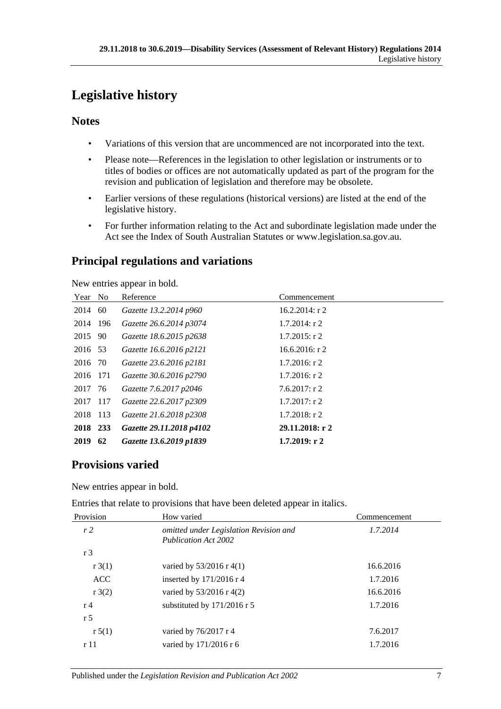# <span id="page-6-0"></span>**Legislative history**

# **Notes**

- Variations of this version that are uncommenced are not incorporated into the text.
- Please note—References in the legislation to other legislation or instruments or to titles of bodies or offices are not automatically updated as part of the program for the revision and publication of legislation and therefore may be obsolete.
- Earlier versions of these regulations (historical versions) are listed at the end of the legislative history.
- For further information relating to the Act and subordinate legislation made under the Act see the Index of South Australian Statutes or www.legislation.sa.gov.au.

# **Principal regulations and variations**

New entries appear in bold.

| Year No  |    | Reference                | Commencement      |
|----------|----|--------------------------|-------------------|
| 2014     | 60 | Gazette 13.2.2014 p960   | $16.2.2014$ : r 2 |
| 2014 196 |    | Gazette 26.6.2014 p3074  | $1.7.2014$ : r 2  |
| 2015 90  |    | Gazette 18.6.2015 p2638  | $1.7.2015$ : r 2  |
| 2016 53  |    | Gazette 16.6.2016 p2121  | $16.6.2016$ : r 2 |
| 2016 70  |    | Gazette 23.6.2016 p2181  | $1.7.2016$ : r 2  |
| 2016 171 |    | Gazette 30.6.2016 p2790  | $1.7.2016$ : r 2  |
| 2017 76  |    | Gazette 7.6.2017 p2046   | $7.6.2017$ : r 2  |
| 2017 117 |    | Gazette 22.6.2017 p2309  | $1.7.2017$ : r 2  |
| 2018 113 |    | Gazette 21.6.2018 p2308  | $1.7.2018$ : r 2  |
| 2018 233 |    | Gazette 29.11.2018 p4102 | 29.11.2018: r2    |
| 2019     | 62 | Gazette 13.6.2019 p1839  | 1.7.2019: r2      |

# **Provisions varied**

New entries appear in bold.

Entries that relate to provisions that have been deleted appear in italics.

| Provision          | How varied                                                            | Commencement |
|--------------------|-----------------------------------------------------------------------|--------------|
| r2                 | omitted under Legislation Revision and<br><b>Publication Act 2002</b> | 1.7.2014     |
| r <sub>3</sub>     |                                                                       |              |
| r3(1)              | varied by $53/2016$ r 4(1)                                            | 16.6.2016    |
| <b>ACC</b>         | inserted by 171/2016 r 4                                              | 1.7.2016     |
| $r \frac{3(2)}{2}$ | varied by $53/2016$ r 4(2)                                            | 16.6.2016    |
| r <sub>4</sub>     | substituted by $171/2016$ r 5                                         | 1.7.2016     |
| r <sub>5</sub>     |                                                                       |              |
| r 5(1)             | varied by $76/2017$ r 4                                               | 7.6.2017     |
| r 11               | varied by 171/2016 r 6                                                | 1.7.2016     |
|                    |                                                                       |              |